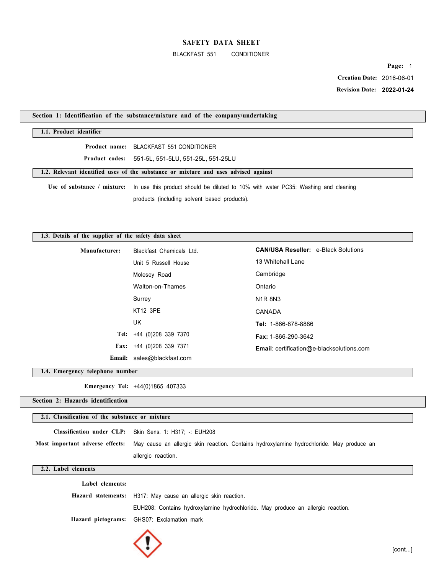#### BLACKFAST 551 CONDITIONER

**Page:** 1  **Creation Date:** 2016-06-01  **Revision Date: 2022-01-24**

# **Section 1: Identification of the substance/mixture and of the company/undertaking**

### **1.1. Product identifier**

**Product name:** BLACKFAST 551 CONDITIONER

**Product codes:** 551-5L, 551-5LU, 551-25L, 551-25LU

**1.2. Relevant identified uses of the substance or mixture and uses advised against** 

**Use of substance / mixture:** In use this product should be diluted to 10% with water PC35: Washing and cleaning products (including solvent based products).

## **1.3. Details of the supplier of the safety data sheet**

| Manufacturer: | Blackfast Chemicals Ltd.   | <b>CAN/USA Reseller: e-Black Solutions</b>       |
|---------------|----------------------------|--------------------------------------------------|
|               | Unit 5 Russell House       | 13 Whitehall Lane                                |
|               | Molesey Road               | Cambridge                                        |
|               | Walton-on-Thames           | Ontario                                          |
|               | Surrey                     | <b>N1R8N3</b>                                    |
|               | KT12 3PE                   | CANADA                                           |
|               | UK                         | Tel: 1-866-878-8886                              |
|               | Tel: +44 (0)208 339 7370   | Fax: 1-866-290-3642                              |
|               | Fax: $+44$ (0)208 339 7371 | <b>Email:</b> certification@e-blacksolutions.com |
|               | Email: sales@blackfast.com |                                                  |

**1.4. Emergency telephone number** 

**Emergency Tel:** +44(0)1865 407333

**Section 2: Hazards identification** 

### **2.1. Classification of the substance or mixture**

| Classification under CLP: Skin Sens. 1: H317: -: EUH208                                                                   |
|---------------------------------------------------------------------------------------------------------------------------|
| Most important adverse effects: May cause an allergic skin reaction. Contains hydroxylamine hydrochloride. May produce an |
| allergic reaction.                                                                                                        |

#### **2.2. Label elements**

| Label elements: |                                                                                 |
|-----------------|---------------------------------------------------------------------------------|
|                 | Hazard statements: H317: May cause an allergic skin reaction.                   |
|                 | EUH208: Contains hydroxylamine hydrochloride. May produce an allergic reaction. |
|                 | Hazard pictograms: GHS07: Exclamation mark                                      |

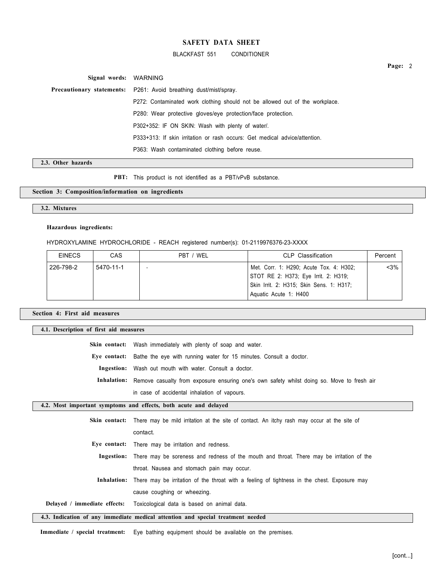BLACKFAST 551 CONDITIONER

**Signal words:** WARNING **Precautionary statements:** P261: Avoid breathing dust/mist/spray. P272: Contaminated work clothing should not be allowed out of the workplace. P280: Wear protective gloves/eye protection/face protection. P302+352: IF ON SKIN: Wash with plenty of water/. P333+313: If skin irritation or rash occurs: Get medical advice/attention. P363: Wash contaminated clothing before reuse.

**2.3. Other hazards** 

**PBT:** This product is not identified as a PBT/vPvB substance.

# **Section 3: Composition/information on ingredients**

**3.2. Mixtures** 

### **Hazardous ingredients:**

HYDROXYLAMINE HYDROCHLORIDE - REACH registered number(s): 01-2119976376-23-XXXX

| <b>EINECS</b> | CAS       | PBT / WEL | CLP Classification                                                                                                                                   | Percent |
|---------------|-----------|-----------|------------------------------------------------------------------------------------------------------------------------------------------------------|---------|
| 226-798-2     | 5470-11-1 |           | Met. Corr. 1: H290; Acute Tox. 4: H302;<br>STOT RE 2: H373; Eye Irrit. 2: H319;<br>Skin Irrit. 2: H315; Skin Sens. 1: H317;<br>Aquatic Acute 1: H400 | $< 3\%$ |

**Section 4: First aid measures** 

| 4.1. Description of first aid measures |                                                                                                          |  |  |
|----------------------------------------|----------------------------------------------------------------------------------------------------------|--|--|
| Skin contact:                          | Wash immediately with plenty of soap and water.                                                          |  |  |
| Eve contact:                           | Bathe the eye with running water for 15 minutes. Consult a doctor.                                       |  |  |
|                                        | <b>Ingestion:</b> Wash out mouth with water. Consult a doctor.                                           |  |  |
|                                        | Inhalation: Remove casualty from exposure ensuring one's own safety whilst doing so. Move to fresh air   |  |  |
|                                        | in case of accidental inhalation of vapours.                                                             |  |  |
|                                        | 4.2. Most important symptoms and effects, both acute and delayed                                         |  |  |
| Skin contact:                          | There may be mild irritation at the site of contact. An itchy rash may occur at the site of              |  |  |
|                                        | contact.                                                                                                 |  |  |
|                                        | Eye contact: There may be irritation and redness.                                                        |  |  |
| Ingestion:                             | There may be soreness and redness of the mouth and throat. There may be irritation of the                |  |  |
|                                        | throat. Nausea and stomach pain may occur.                                                               |  |  |
|                                        | Inhalation: There may be irritation of the throat with a feeling of tightness in the chest. Exposure may |  |  |
|                                        | cause coughing or wheezing.                                                                              |  |  |
| Delayed / immediate effects:           | Toxicological data is based on animal data.                                                              |  |  |
|                                        | 4.3. Indication of any immediate medical attention and special treatment needed                          |  |  |

**Immediate / special treatment:** Eye bathing equipment should be available on the premises.

**Page:** 2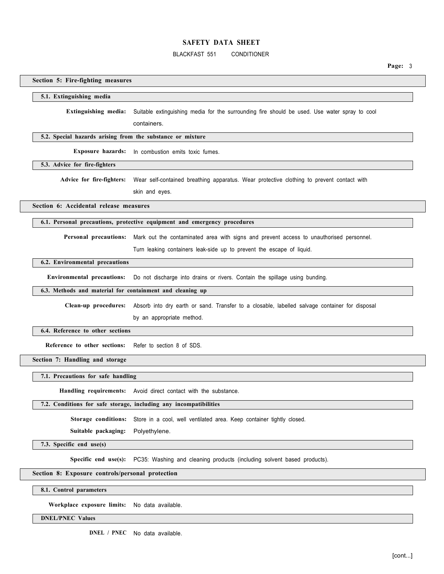# BLACKFAST 551 CONDITIONER

**Page:** 3

# **Section 5: Fire-fighting measures**

### **5.1. Extinguishing media**

**Extinguishing media:** Suitable extinguishing media for the surrounding fire should be used. Use water spray to cool

containers.

#### **5.2. Special hazards arising from the substance or mixture**

**Exposure hazards:** In combustion emits toxic fumes.

**5.3. Advice for fire-fighters** 

Advice for fire-fighters: Wear self-contained breathing apparatus. Wear protective clothing to prevent contact with

skin and eyes.

**Section 6: Accidental release measures** 

#### **6.1. Personal precautions, protective equipment and emergency procedures**

**Personal precautions:** Mark out the contaminated area with signs and prevent access to unauthorised personnel.

Turn leaking containers leak-side up to prevent the escape of liquid.

# **6.2. Environmental precautions**

**Environmental precautions:** Do not discharge into drains or rivers. Contain the spillage using bunding.

# **6.3. Methods and material for containment and cleaning up**

**Clean-up procedures:** Absorb into dry earth or sand. Transfer to a closable, labelled salvage container for disposal by an appropriate method.

#### **6.4. Reference to other sections**

**Reference to other sections:** Refer to section 8 of SDS.

**Section 7: Handling and storage** 

**7.1. Precautions for safe handling** 

**Handling requirements:** Avoid direct contact with the substance.

### **7.2. Conditions for safe storage, including any incompatibilities**

**Storage conditions:** Store in a cool, well ventilated area. Keep container tightly closed.

**Suitable packaging:** Polyethylene.

**7.3. Specific end use(s)** 

**Specific end use(s):** PC35: Washing and cleaning products (including solvent based products).

### **Section 8: Exposure controls/personal protection**

**8.1. Control parameters** 

**Workplace exposure limits:** No data available.

### **DNEL/PNEC Values**

**DNEL / PNEC** No data available.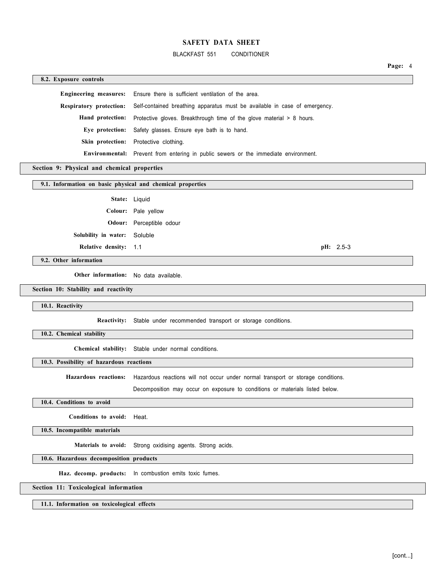BLACKFAST 551 CONDITIONER

**Page:** 4

**8.2. Exposure controls Engineering measures:** Ensure there is sufficient ventilation of the area. **Respiratory protection:** Self-contained breathing apparatus must be available in case of emergency. Hand protection: Protective gloves. Breakthrough time of the glove material > 8 hours. **Eye protection:** Safety glasses. Ensure eye bath is to hand. **Skin protection:** Protective clothing. **Environmental:** Prevent from entering in public sewers or the immediate environment.

# **Section 9: Physical and chemical properties**

## **9.1. Information on basic physical and chemical properties**

**State:** Liquid **Colour:** Pale yellow **Odour:** Perceptible odour **Solubility in water:** Soluble **Relative density:** 1.1 **pH:** 2.5-3

**9.2. Other information** 

**Other information:** No data available.

## **Section 10: Stability and reactivity**

**10.1. Reactivity** 

**Reactivity:** Stable under recommended transport or storage conditions.

**10.2. Chemical stability** 

**Chemical stability:** Stable under normal conditions.

### **10.3. Possibility of hazardous reactions**

**Hazardous reactions:** Hazardous reactions will not occur under normal transport or storage conditions.

Decomposition may occur on exposure to conditions or materials listed below.

# **10.4. Conditions to avoid**

**Conditions to avoid:** Heat.

**10.5. Incompatible materials** 

**Materials to avoid:** Strong oxidising agents. Strong acids.

### **10.6. Hazardous decomposition products**

**Haz. decomp. products:** In combustion emits toxic fumes.

#### **Section 11: Toxicological information**

**11.1. Information on toxicological effects**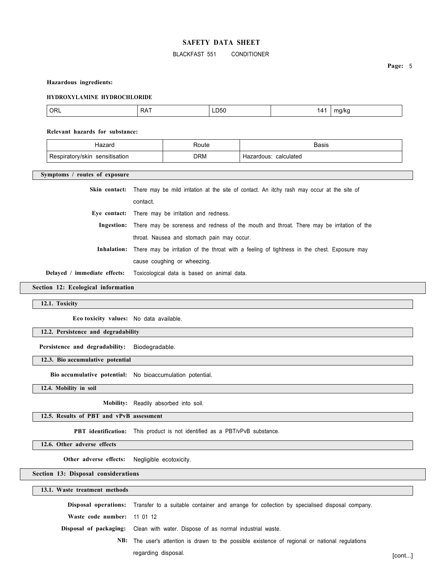### BLACKFAST 551 CONDITIONER

**Page:** 5

#### **Hazardous ingredients:**

#### **HYDROXYLAMINE HYDROCHLORIDE**

| $\cap$<br>URL | <b>RAT</b> | LD50<br>$ -$ | $\overline{ }$ | 17<br>$\cdot$ $\cdot$<br>. . |
|---------------|------------|--------------|----------------|------------------------------|
|---------------|------------|--------------|----------------|------------------------------|

#### **Relevant hazards for substance:**

|                                         | Route      | Basis                    |
|-----------------------------------------|------------|--------------------------|
| sensitisation<br>//skin<br>pırator<br>v | <b>DRM</b> | calculated<br>Hazardous: |

**Symptoms / routes of exposure** 

**Skin contact:** There may be mild irritation at the site of contact. An itchy rash may occur at the site of

contact.

**Eye contact:** There may be irritation and redness.

**Ingestion:** There may be soreness and redness of the mouth and throat. There may be irritation of the throat. Nausea and stomach pain may occur.

**Inhalation:** There may be irritation of the throat with a feeling of tightness in the chest. Exposure may

cause coughing or wheezing.

**Delayed / immediate effects:** Toxicological data is based on animal data.

# **Section 12: Ecological information**

**12.1. Toxicity** 

**Eco toxicity values:** No data available.

**12.2. Persistence and degradability** 

**Persistence and degradability:** Biodegradable.

**12.3. Bio accumulative potential** 

**Bio accumulative potential:** No bioaccumulation potential.

**12.4. Mobility in soil** 

**Mobility:** Readily absorbed into soil.

**12.5. Results of PBT and vPvB assessment** 

**PBT identification:** This product is not identified as a PBT/vPvB substance.

**12.6. Other adverse effects** 

**Other adverse effects:** Negligible ecotoxicity.

**Section 13: Disposal considerations** 

**13.1. Waste treatment methods Disposal operations:** Transfer to a suitable container and arrange for collection by specialised disposal company. **Waste code number:** 11 01 12 **Disposal of packaging:** Clean with water. Dispose of as normal industrial waste. **NB:** The user's attention is drawn to the possible existence of regional or national regulations regarding disposal. **[contract contract contract contract contract contract contract contract contract contract contract contract contract contract contract contract contract contract contract contract contract contract co**